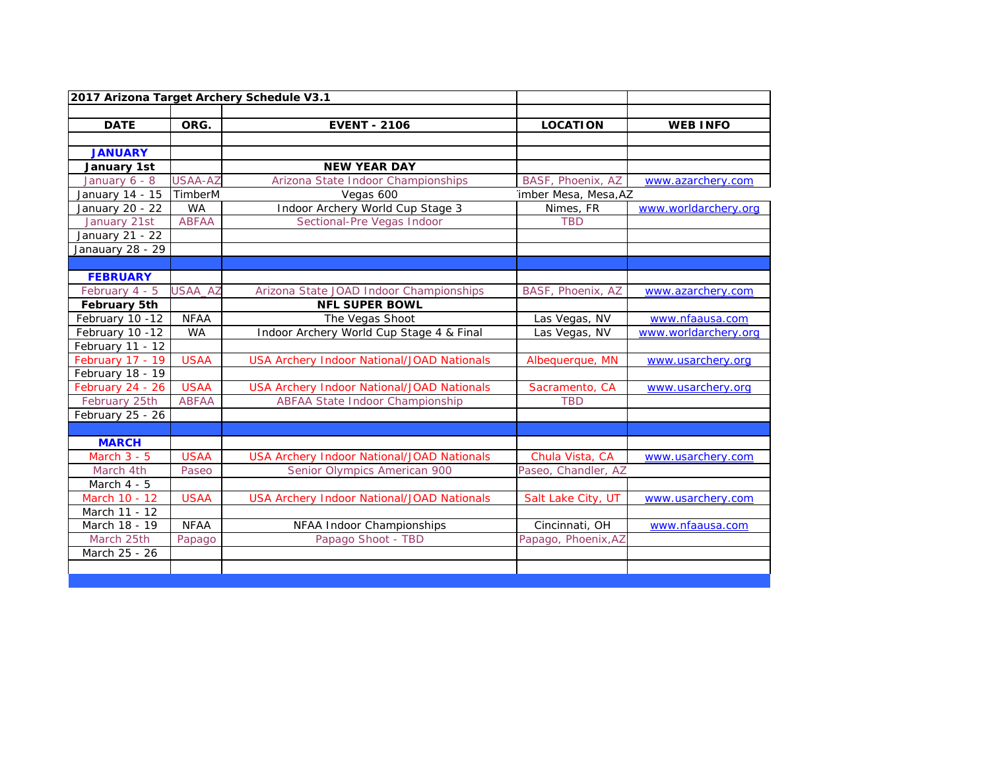|                     |                | 2017 Arizona Target Archery Schedule V3.1         |                      |                      |
|---------------------|----------------|---------------------------------------------------|----------------------|----------------------|
|                     |                |                                                   |                      |                      |
| <b>DATE</b>         | ORG.           | <b>EVENT - 2106</b>                               | <b>LOCATION</b>      | <b>WEB INFO</b>      |
|                     |                |                                                   |                      |                      |
| <b>JANUARY</b>      |                |                                                   |                      |                      |
| January 1st         |                | <b>NEW YEAR DAY</b>                               |                      |                      |
| January 6 - 8       | <b>USAA-AZ</b> | Arizona State Indoor Championships                | BASF, Phoenix, AZ    | www.azarchery.com    |
| January 14 - 15     | TimberM        | Vegas 600                                         | imber Mesa, Mesa, AZ |                      |
| January 20 - 22     | <b>WA</b>      | Indoor Archery World Cup Stage 3                  | Nimes, FR            | www.worldarchery.org |
| January 21st        | <b>ABFAA</b>   | Sectional-Pre Vegas Indoor                        | <b>TBD</b>           |                      |
| January 21 - 22     |                |                                                   |                      |                      |
| Janauary 28 - 29    |                |                                                   |                      |                      |
|                     |                |                                                   |                      |                      |
| <b>FEBRUARY</b>     |                |                                                   |                      |                      |
| February 4 - 5      | USAA_AZ        | Arizona State JOAD Indoor Championships           | BASF, Phoenix, AZ    | www.azarchery.com    |
| <b>February 5th</b> |                | <b>NFL SUPER BOWL</b>                             |                      |                      |
| February 10 -12     | <b>NFAA</b>    | The Vegas Shoot                                   | Las Vegas, NV        | www.nfaausa.com      |
| February 10 -12     | <b>WA</b>      | Indoor Archery World Cup Stage 4 & Final          | Las Vegas, NV        | www.worldarchery.org |
| February 11 - 12    |                |                                                   |                      |                      |
| February 17 - 19    | <b>USAA</b>    | <b>USA Archery Indoor National/JOAD Nationals</b> | Albequerque, MN      | www.usarchery.org    |
| February 18 - 19    |                |                                                   |                      |                      |
| February 24 - 26    | <b>USAA</b>    | <b>USA Archery Indoor National/JOAD Nationals</b> | Sacramento, CA       | www.usarchery.org    |
| February 25th       | <b>ABFAA</b>   | <b>ABFAA State Indoor Championship</b>            | <b>TBD</b>           |                      |
| February 25 - $26$  |                |                                                   |                      |                      |
|                     |                |                                                   |                      |                      |
| <b>MARCH</b>        |                |                                                   |                      |                      |
| March $3 - 5$       | <b>USAA</b>    | <b>USA Archery Indoor National/JOAD Nationals</b> | Chula Vista, CA      | www.usarchery.com    |
| March 4th           | Paseo          | Senior Olympics American 900                      | Paseo, Chandler, AZ  |                      |
| March 4 - 5         |                |                                                   |                      |                      |
| March 10 - 12       | <b>USAA</b>    | <b>USA Archery Indoor National/JOAD Nationals</b> | Salt Lake City, UT   | www.usarchery.com    |
| March 11 - 12       |                |                                                   |                      |                      |
| March 18 - 19       | <b>NFAA</b>    | NFAA Indoor Championships                         | Cincinnati, OH       | www.nfaausa.com      |
| March 25th          | Papago         | Papago Shoot - TBD                                | Papago, Phoenix, AZ  |                      |
| March 25 - 26       |                |                                                   |                      |                      |
|                     |                |                                                   |                      |                      |
|                     |                |                                                   |                      |                      |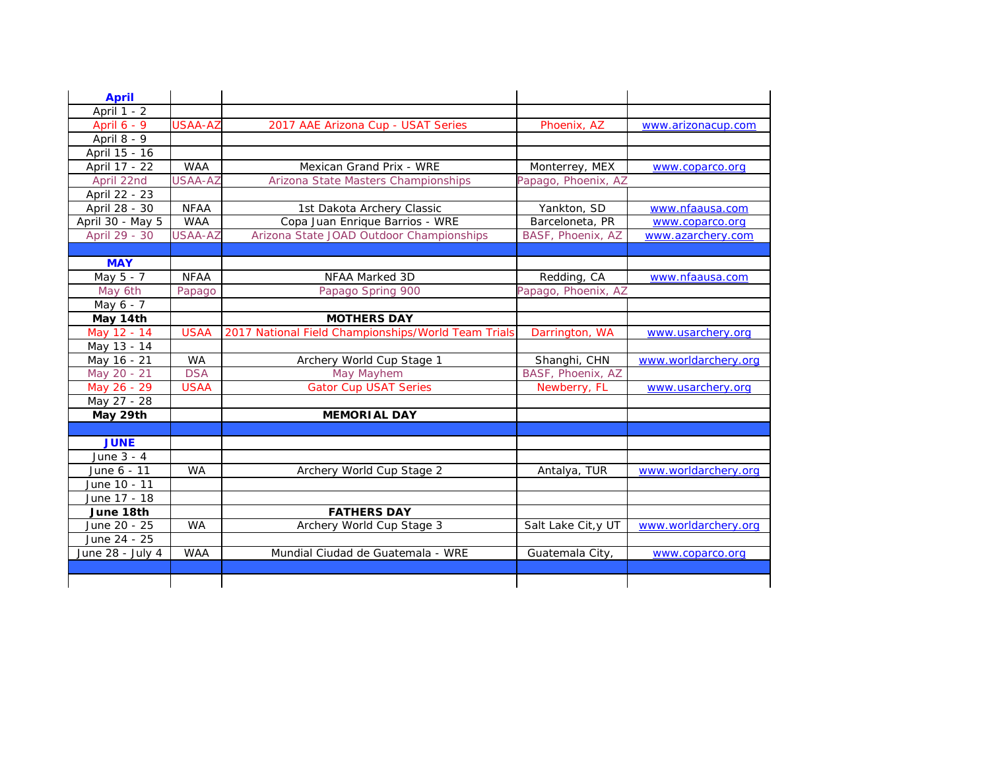| <b>April</b>     |                |                                                     |                     |                      |
|------------------|----------------|-----------------------------------------------------|---------------------|----------------------|
| April 1 - 2      |                |                                                     |                     |                      |
| April 6 - 9      | <b>USAA-AZ</b> | 2017 AAE Arizona Cup - USAT Series                  | Phoenix, AZ         | www.arizonacup.com   |
| April 8 - 9      |                |                                                     |                     |                      |
| April 15 - 16    |                |                                                     |                     |                      |
| April 17 - 22    | <b>WAA</b>     | Mexican Grand Prix - WRE                            | Monterrey, MEX      | www.coparco.org      |
| April 22nd       | <b>USAA-AZ</b> | Arizona State Masters Championships                 | Papago, Phoenix, AZ |                      |
| April 22 - 23    |                |                                                     |                     |                      |
| April 28 - 30    | <b>NFAA</b>    | 1st Dakota Archery Classic                          | Yankton, SD         | www.nfaausa.com      |
| April 30 - May 5 | <b>WAA</b>     | Copa Juan Enrique Barrios - WRE                     | Barceloneta, PR     | www.coparco.org      |
| April 29 - 30    | USAA-AZ        | Arizona State JOAD Outdoor Championships            | BASF, Phoenix, AZ   | www.azarchery.com    |
|                  |                |                                                     |                     |                      |
| <b>MAY</b>       |                |                                                     |                     |                      |
| May 5 - 7        | <b>NFAA</b>    | NFAA Marked 3D                                      | Redding, CA         | www.nfaausa.com      |
| May 6th          | Papago         | Papago Spring 900                                   | Papago, Phoenix, AZ |                      |
| May 6 - 7        |                |                                                     |                     |                      |
| May 14th         |                | <b>MOTHERS DAY</b>                                  |                     |                      |
| May 12 - 14      | <b>USAA</b>    | 2017 National Field Championships/World Team Trials | Darrington, WA      | www.usarchery.org    |
| May 13 - 14      |                |                                                     |                     |                      |
| May 16 - 21      | <b>WA</b>      | Archery World Cup Stage 1                           | Shanghi, CHN        | www.worldarchery.org |
| May 20 - 21      | <b>DSA</b>     | May Mayhem                                          | BASF, Phoenix, AZ   |                      |
| May 26 - 29      | <b>USAA</b>    | <b>Gator Cup USAT Series</b>                        | Newberry, FL        | www.usarchery.org    |
| May 27 - 28      |                |                                                     |                     |                      |
| May 29th         |                | <b>MEMORIAL DAY</b>                                 |                     |                      |
|                  |                |                                                     |                     |                      |
| <b>JUNE</b>      |                |                                                     |                     |                      |
| June 3 - 4       |                |                                                     |                     |                      |
| June 6 - 11      | <b>WA</b>      | Archery World Cup Stage 2                           | Antalya, TUR        | www.worldarchery.org |
| June 10 - 11     |                |                                                     |                     |                      |
| June 17 - 18     |                |                                                     |                     |                      |
| June 18th        |                | <b>FATHERS DAY</b>                                  |                     |                      |
| June 20 - 25     | <b>WA</b>      | Archery World Cup Stage 3                           | Salt Lake Cit, y UT | www.worldarchery.org |
| June 24 - 25     |                |                                                     |                     |                      |
| June 28 - July 4 | <b>WAA</b>     | Mundial Ciudad de Guatemala - WRE                   | Guatemala City,     | www.coparco.org      |
|                  |                |                                                     |                     |                      |
|                  |                |                                                     |                     |                      |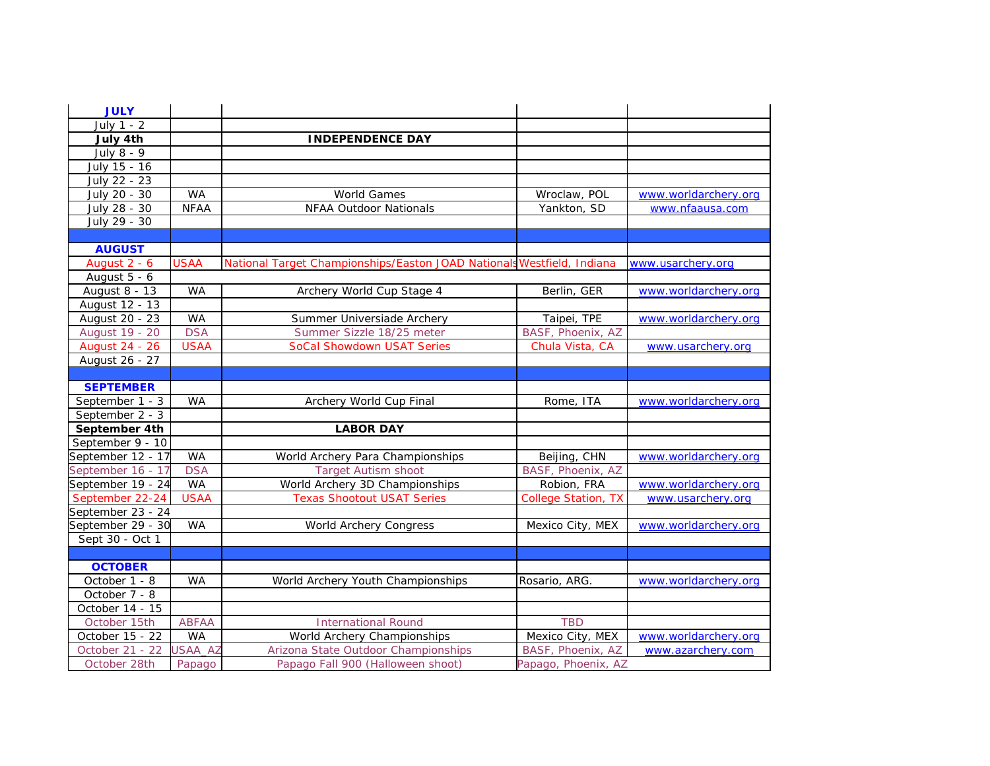| <b>JULY</b>       |                |                                                                        |                            |                      |
|-------------------|----------------|------------------------------------------------------------------------|----------------------------|----------------------|
| July 1 - 2        |                |                                                                        |                            |                      |
| July 4th          |                | <b>INDEPENDENCE DAY</b>                                                |                            |                      |
| July 8 - 9        |                |                                                                        |                            |                      |
| July 15 - 16      |                |                                                                        |                            |                      |
| July 22 - 23      |                |                                                                        |                            |                      |
| July 20 - 30      | <b>WA</b>      | <b>World Games</b>                                                     | Wroclaw, POL               | www.worldarchery.org |
| July 28 - 30      | <b>NFAA</b>    | <b>NFAA Outdoor Nationals</b>                                          | Yankton, SD                | www.nfaausa.com      |
| July 29 - 30      |                |                                                                        |                            |                      |
|                   |                |                                                                        |                            |                      |
| <b>AUGUST</b>     |                |                                                                        |                            |                      |
| August 2 - 6      | <b>USAA</b>    | National Target Championships/Easton JOAD Nationals Westfield, Indiana |                            | www.usarchery.org    |
| August 5 - 6      |                |                                                                        |                            |                      |
| August 8 - 13     | <b>WA</b>      | Archery World Cup Stage 4                                              | Berlin, GER                | www.worldarchery.org |
| August 12 - 13    |                |                                                                        |                            |                      |
| August 20 - 23    | <b>WA</b>      | Summer Universiade Archery                                             | Taipei, TPE                | www.worldarchery.org |
| August 19 - 20    | <b>DSA</b>     | Summer Sizzle 18/25 meter                                              | BASF, Phoenix, AZ          |                      |
| August 24 - 26    | <b>USAA</b>    | SoCal Showdown USAT Series                                             | Chula Vista, CA            | www.usarchery.org    |
| August 26 - 27    |                |                                                                        |                            |                      |
|                   |                |                                                                        |                            |                      |
| <b>SEPTEMBER</b>  |                |                                                                        |                            |                      |
| September 1 - 3   | <b>WA</b>      | Archery World Cup Final                                                | Rome, ITA                  | www.worldarchery.org |
| September 2 - 3   |                |                                                                        |                            |                      |
| September 4th     |                | <b>LABOR DAY</b>                                                       |                            |                      |
| September 9 - 10  |                |                                                                        |                            |                      |
| September 12 - 17 | <b>WA</b>      | World Archery Para Championships                                       | Beijing, CHN               | www.worldarchery.org |
| September 16 - 17 | <b>DSA</b>     | <b>Target Autism shoot</b>                                             | BASF, Phoenix, AZ          |                      |
| September 19 - 24 | <b>WA</b>      | World Archery 3D Championships                                         | Robion, FRA                | www.worldarchery.org |
| September 22-24   | <b>USAA</b>    | <b>Texas Shootout USAT Series</b>                                      | <b>College Station, TX</b> | www.usarchery.org    |
| September 23 - 24 |                |                                                                        |                            |                      |
| September 29 - 30 | <b>WA</b>      | World Archery Congress                                                 | Mexico City, MEX           | www.worldarchery.org |
| Sept 30 - Oct 1   |                |                                                                        |                            |                      |
|                   |                |                                                                        |                            |                      |
| <b>OCTOBER</b>    |                |                                                                        |                            |                      |
| October 1 - 8     | <b>WA</b>      | World Archery Youth Championships                                      | Rosario, ARG.              | www.worldarchery.org |
| October 7 - 8     |                |                                                                        |                            |                      |
| October 14 - 15   |                |                                                                        |                            |                      |
| October 15th      | <b>ABFAA</b>   | <b>International Round</b>                                             | <b>TBD</b>                 |                      |
| October 15 - 22   | <b>WA</b>      | World Archery Championships                                            | Mexico City, MEX           | www.worldarchery.org |
| October 21 - 22   | <b>JSAA_AZ</b> | Arizona State Outdoor Championships                                    | BASF, Phoenix, AZ          | www.azarchery.com    |
| October 28th      | Papago         | Papago Fall 900 (Halloween shoot)                                      | Papago, Phoenix, AZ        |                      |